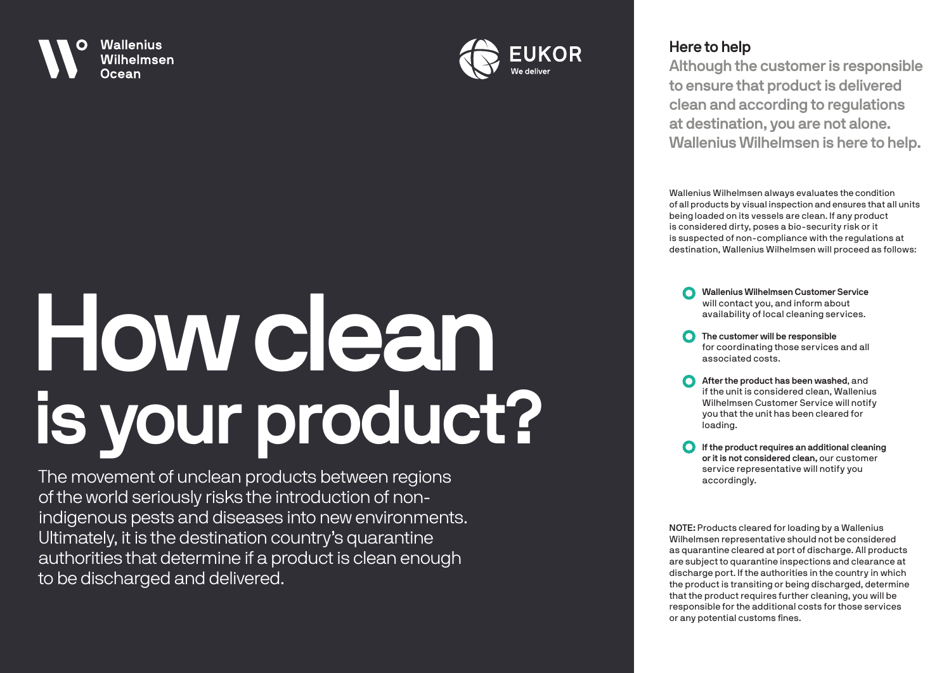



## **Here to help**

**Although the customer is responsible to ensure that product is delivered clean and according to regulations at destination, you are not alone. Wallenius Wilhelmsen is here to help.**

Wallenius Wilhelmsen always evaluates the condition of all products by visual inspection and ensures that all units being loaded on its vessels are clean. If any product is considered dirty, poses a bio-security risk or it is suspected of non-compliance with the regulations at destination, Wallenius Wilhelmsen will proceed as follows:

 $\Omega$ **Wallenius Wilhelmsen Customer Service** will contact you, and inform about availability of local cleaning services.

- **C** The customer will be responsible for coordinating those services and all associated costs.
- **After the product has been washed, and** if the unit is considered clean, Wallenius Wilhelmsen Customer Service will notify you that the unit has been cleared for loading.
- $\Omega$ **If the product requires an additional cleaning or it is not considered clean,** our customer service representative will notify you accordingly.

**NOTE:** Products cleared for loading by a Wallenius Wilhelmsen representative should not be considered as quarantine cleared at port of discharge. All products are subject to quarantine inspections and clearance at discharge port. If the authorities in the country in which the product is transiting or being discharged, determine that the product requires further cleaning, you will be responsible for the additional costs for those services or any potential customs fines.

## **How clean is your product?**

The movement of unclean products between regions of the world seriously risks the introduction of nonindigenous pests and diseases into new environments. Ultimately, it is the destination country's quarantine authorities that determine if a product is clean enough to be discharged and delivered.